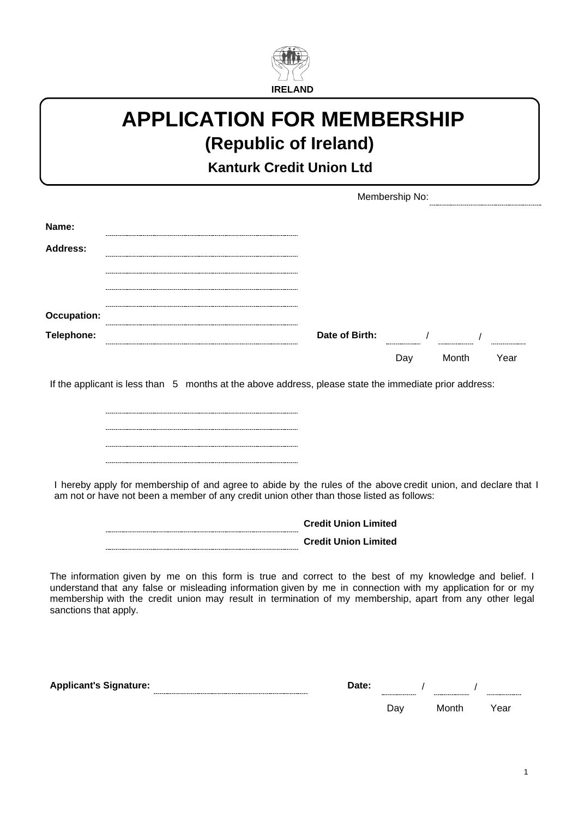

### **APPLICATION FOR MEMBERSHIP (Republic of Ireland)**

**Kanturk Credit Union Ltd**

|                                                                                                                                                                                                                                                                                                                                                           |                                                                                                                                                                                                                                                                                                       | Membership No: |                |  |
|-----------------------------------------------------------------------------------------------------------------------------------------------------------------------------------------------------------------------------------------------------------------------------------------------------------------------------------------------------------|-------------------------------------------------------------------------------------------------------------------------------------------------------------------------------------------------------------------------------------------------------------------------------------------------------|----------------|----------------|--|
| Name:                                                                                                                                                                                                                                                                                                                                                     |                                                                                                                                                                                                                                                                                                       |                |                |  |
| <b>Address:</b>                                                                                                                                                                                                                                                                                                                                           |                                                                                                                                                                                                                                                                                                       |                |                |  |
|                                                                                                                                                                                                                                                                                                                                                           |                                                                                                                                                                                                                                                                                                       |                |                |  |
| <b>Occupation:</b>                                                                                                                                                                                                                                                                                                                                        |                                                                                                                                                                                                                                                                                                       |                |                |  |
| Telephone:                                                                                                                                                                                                                                                                                                                                                |                                                                                                                                                                                                                                                                                                       |                |                |  |
|                                                                                                                                                                                                                                                                                                                                                           |                                                                                                                                                                                                                                                                                                       |                | Day Month Year |  |
| If the applicant is less than 5 months at the above address, please state the immediate prior address:<br>I hereby apply for membership of and agree to abide by the rules of the above credit union, and declare that I<br>am not or have not been a member of any credit union other than those listed as follows:                                      |                                                                                                                                                                                                                                                                                                       |                |                |  |
|                                                                                                                                                                                                                                                                                                                                                           | <b>Credit Union Limited</b><br><b>Credit Union Limited</b>                                                                                                                                                                                                                                            |                |                |  |
| The information given by me on this form is true and correct to the best of my knowledge and belief. I<br>understand that any false or misleading information given by me in connection with my application for or my<br>membership with the credit union may result in termination of my membership, apart from any other legal<br>sanctions that apply. |                                                                                                                                                                                                                                                                                                       |                |                |  |
| <b>Applicant's Signature:</b>                                                                                                                                                                                                                                                                                                                             | Date: $\frac{1}{2}$ / $\frac{1}{2}$ / $\frac{1}{2}$ / $\frac{1}{2}$ / $\frac{1}{2}$ / $\frac{1}{2}$ / $\frac{1}{2}$ / $\frac{1}{2}$ / $\frac{1}{2}$ / $\frac{1}{2}$ / $\frac{1}{2}$ / $\frac{1}{2}$ / $\frac{1}{2}$ / $\frac{1}{2}$ / $\frac{1}{2}$ / $\frac{1}{2}$ / $\frac{1}{2}$ / $\frac{1}{2}$ / |                |                |  |

| Date: |     |       |      |
|-------|-----|-------|------|
|       | Day | Month | Year |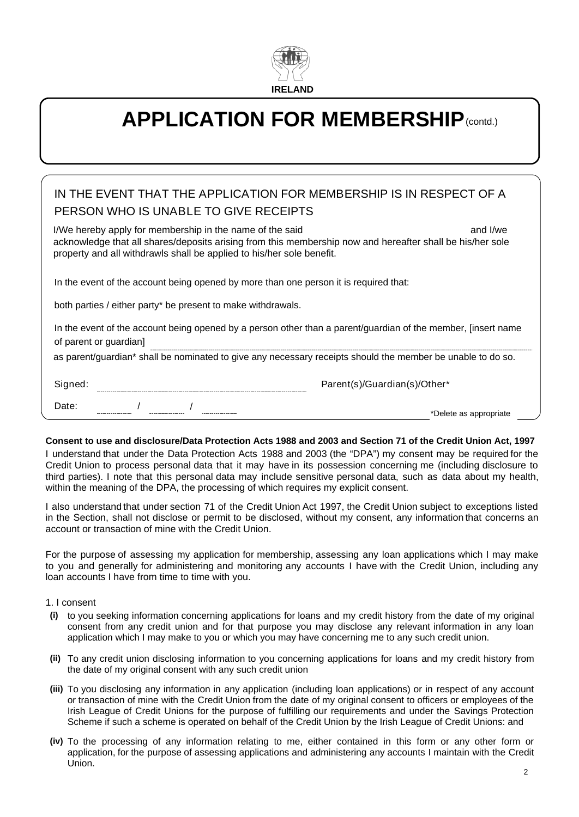

# **APPLICATION FOR MEMBERSHIP**(contd.)

| IN THE EVENT THAT THE APPLICATION FOR MEMBERSHIP IS IN RESPECT OF A<br>PERSON WHO IS UNABLE TO GIVE RECEIPTS                                                                                                                                               |  |
|------------------------------------------------------------------------------------------------------------------------------------------------------------------------------------------------------------------------------------------------------------|--|
| I/We hereby apply for membership in the name of the said<br>and I/we<br>acknowledge that all shares/deposits arising from this membership now and hereafter shall be his/her sole<br>property and all withdrawls shall be applied to his/her sole benefit. |  |
| In the event of the account being opened by more than one person it is required that:                                                                                                                                                                      |  |
| both parties / either party* be present to make withdrawals.                                                                                                                                                                                               |  |
| In the event of the account being opened by a person other than a parent/guardian of the member, [insert name<br>of parent or guardian]                                                                                                                    |  |
| as parent/guardian* shall be nominated to give any necessary receipts should the member be unable to do so.                                                                                                                                                |  |
| Signed:<br>Parent(s)/Guardian(s)/Other*                                                                                                                                                                                                                    |  |

### **Consent to use and disclosure/Data Protection Acts 1988 and 2003 and Section 71 of the Credit Union Act, 1997**

I understand that under the Data Protection Acts 1988 and 2003 (the "DPA") my consent may be required for the Credit Union to process personal data that it may have in its possession concerning me (including disclosure to third parties). I note that this personal data may include sensitive personal data, such as data about my health, within the meaning of the DPA, the processing of which requires my explicit consent.

I also understand that under section 71 of the Credit Union Act 1997, the Credit Union subject to exceptions listed in the Section, shall not disclose or permit to be disclosed, without my consent, any information that concerns an account or transaction of mine with the Credit Union.

For the purpose of assessing my application for membership, assessing any loan applications which I may make to you and generally for administering and monitoring any accounts I have with the Credit Union, including any loan accounts I have from time to time with you.

### 1. I consent

Date:

/ /

- to you seeking information concerning applications for loans and my credit history from the date of my original **(i)** consent from any credit union and for that purpose you may disclose any relevant information in any loan application which I may make to you or which you may have concerning me to any such credit union.
- To any credit union disclosing information to you concerning applications for loans and my credit history from **(ii)** the date of my original consent with any such credit union
- To you disclosing any information in any application (including loan applications) or in respect of any account **(iii)** or transaction of mine with the Credit Union from the date of my original consent to officers or employees of the Irish League of Credit Unions for the purpose of fulfilling our requirements and under the Savings Protection Scheme if such a scheme is operated on behalf of the Credit Union by the Irish League of Credit Unions: and
- To the processing of any information relating to me, either contained in this form or any other form or **(iv)** application, for the purpose of assessing applications and administering any accounts I maintain with the Credit Union.

\*Delete as appropriate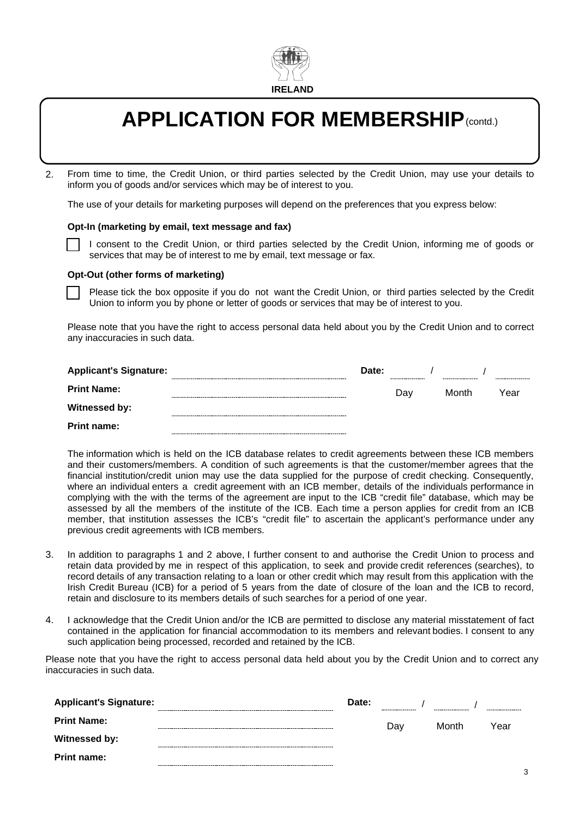

# **APPLICATION FOR MEMBERSHIP**(contd.)

From time to time, the Credit Union, or third parties selected by the Credit Union, may use your details to inform you of goods and/or services which may be of interest to you. 2.

The use of your details for marketing purposes will depend on the preferences that you express below:

#### **Opt-In (marketing by email, text message and fax)**

I consent to the Credit Union, or third parties selected by the Credit Union, informing me of goods or services that may be of interest to me by email, text message or fax.

#### **Opt-Out (other forms of marketing)**

Please tick the box opposite if you do not want the Credit Union, or third parties selected by the Credit Union to inform you by phone or letter of goods or services that may be of interest to you.

Please note that you have the right to access personal data held about you by the Credit Union and to correct any inaccuracies in such data.

| <b>Applicant's Signature:</b> | Date: |     |       |      |
|-------------------------------|-------|-----|-------|------|
| <b>Print Name:</b>            |       | Dav | Month | Year |
| Witnessed by:                 |       |     |       |      |
| <b>Print name:</b>            |       |     |       |      |

The information which is held on the ICB database relates to credit agreements between these ICB members and their customers/members. A condition of such agreements is that the customer/member agrees that the financial institution/credit union may use the data supplied for the purpose of credit checking. Consequently, where an individual enters a credit agreement with an ICB member, details of the individuals performance in complying with the with the terms of the agreement are input to the ICB "credit file" database, which may be assessed by all the members of the institute of the ICB. Each time a person applies for credit from an ICB member, that institution assesses the ICB's "credit file" to ascertain the applicant's performance under any previous credit agreements with ICB members.

- 3. In addition to paragraphs 1 and 2 above, I further consent to and authorise the Credit Union to process and retain data provided by me in respect of this application, to seek and provide credit references (searches), to record details of any transaction relating to a loan or other credit which may result from this application with the Irish Credit Bureau (ICB) for a period of 5 years from the date of closure of the loan and the ICB to record, retain and disclosure to its members details of such searches for a period of one year.
- I acknowledge that the Credit Union and/or the ICB are permitted to disclose any material misstatement of fact contained in the application for financial accommodation to its members and relevant bodies. I consent to any such application being processed, recorded and retained by the ICB. 4.

Please note that you have the right to access personal data held about you by the Credit Union and to correct any inaccuracies in such data.

| <b>Applicant's Signature:</b> | -------------------------------- | Date: | ------------------ | ------------------ |      |
|-------------------------------|----------------------------------|-------|--------------------|--------------------|------|
| <b>Print Name:</b>            |                                  |       | Dav                | Month              | Year |
| Witnessed by:                 |                                  |       |                    |                    |      |
| <b>Print name:</b>            |                                  |       |                    |                    |      |